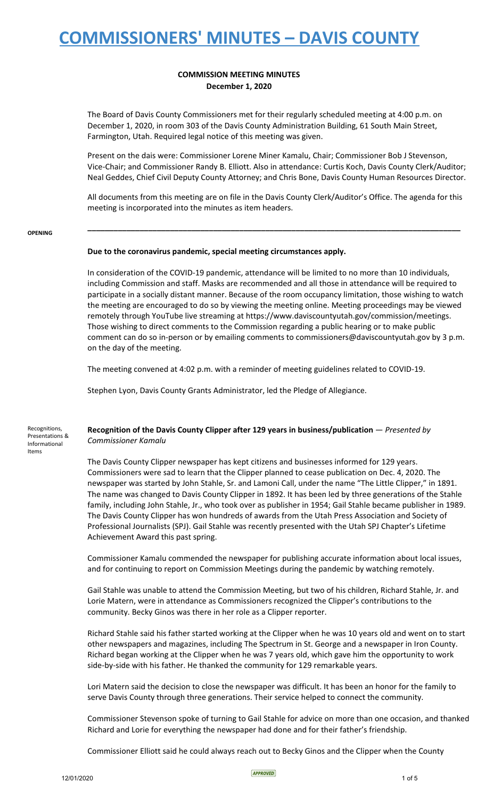### **COMMISSION MEETING MINUTES December 1, 2020**

The Board of Davis County Commissioners met for their regularly scheduled meeting at 4:00 p.m. on December 1, 2020, in room 303 of the Davis County Administration Building, 61 South Main Street, Farmington, Utah. Required legal notice of this meeting was given.

Present on the dais were: Commissioner Lorene Miner Kamalu, Chair; Commissioner Bob J Stevenson, Vice-Chair; and Commissioner Randy B. Elliott. Also in attendance: Curtis Koch, Davis County Clerk/Auditor; Neal Geddes, Chief Civil Deputy County Attorney; and Chris Bone, Davis County Human Resources Director.

All documents from this meeting are on file in the Davis County Clerk/Auditor's Office. The agenda for this meeting is incorporated into the minutes as item headers.

**\_\_\_\_\_\_\_\_\_\_\_\_\_\_\_\_\_\_\_\_\_\_\_\_\_\_\_\_\_\_\_\_\_\_\_\_\_\_\_\_\_\_\_\_\_\_\_\_\_\_\_\_\_\_\_\_\_\_\_\_\_\_\_\_\_\_\_\_\_\_\_\_\_\_\_\_\_\_\_\_\_\_\_\_\_\_**

#### **OPENING**

Items

### **Due to the coronavirus pandemic, special meeting circumstances apply.**

In consideration of the COVID-19 pandemic, attendance will be limited to no more than 10 individuals, including Commission and staff. Masks are recommended and all those in attendance will be required to participate in a socially distant manner. Because of the room occupancy limitation, those wishing to watch the meeting are encouraged to do so by viewing the meeting online. Meeting proceedings may be viewed remotely through YouTube live streaming at https://www.daviscountyutah.gov/commission/meetings. Those wishing to direct comments to the Commission regarding a public hearing or to make public comment can do so in-person or by emailing comments to commissioners@daviscountyutah.gov by 3 p.m. on the day of the meeting.

The meeting convened at 4:02 p.m. with a reminder of meeting guidelines related to COVID-19.

Stephen Lyon, Davis County Grants Administrator, led the Pledge of Allegiance.

#### Recognitions, Presentations & Informational **Recognition of the Davis County Clipper after 129 years in business/publication** — *Presented by Commissioner Kamalu*

The Davis County Clipper newspaper has kept citizens and businesses informed for 129 years. Commissioners were sad to learn that the Clipper planned to cease publication on Dec. 4, 2020. The newspaper was started by John Stahle, Sr. and Lamoni Call, under the name "The Little Clipper," in 1891. The name was changed to Davis County Clipper in 1892. It has been led by three generations of the Stahle family, including John Stahle, Jr., who took over as publisher in 1954; Gail Stahle became publisher in 1989. The Davis County Clipper has won hundreds of awards from the Utah Press Association and Society of Professional Journalists (SPJ). Gail Stahle was recently presented with the Utah SPJ Chapter's Lifetime Achievement Award this past spring.

Commissioner Kamalu commended the newspaper for publishing accurate information about local issues, and for continuing to report on Commission Meetings during the pandemic by watching remotely.

Gail Stahle was unable to attend the Commission Meeting, but two of his children, Richard Stahle, Jr. and Lorie Matern, were in attendance as Commissioners recognized the Clipper's contributions to the community. Becky Ginos was there in her role as a Clipper reporter.

Richard Stahle said his father started working at the Clipper when he was 10 years old and went on to start other newspapers and magazines, including The Spectrum in St. George and a newspaper in Iron County. Richard began working at the Clipper when he was 7 years old, which gave him the opportunity to work side-by-side with his father. He thanked the community for 129 remarkable years.

Lori Matern said the decision to close the newspaper was difficult. It has been an honor for the family to serve Davis County through three generations. Their service helped to connect the community.

Commissioner Stevenson spoke of turning to Gail Stahle for advice on more than one occasion, and thanked Richard and Lorie for everything the newspaper had done and for their father's friendship.

Commissioner Elliott said he could always reach out to Becky Ginos and the Clipper when the County

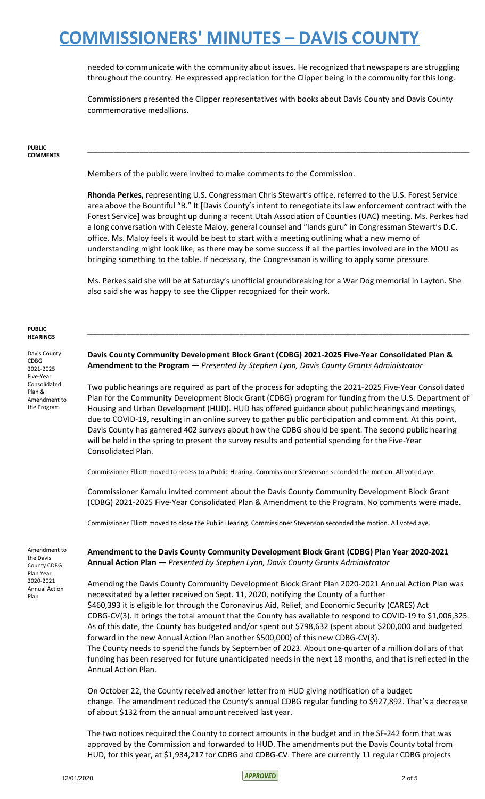needed to communicate with the community about issues. He recognized that newspapers are struggling throughout the country. He expressed appreciation for the Clipper being in the community for this long.

Commissioners presented the Clipper representatives with books about Davis County and Davis County commemorative medallions.

#### **PUBLIC COMMENTS**

Members of the public were invited to make comments to the Commission.

**Rhonda Perkes,** representing U.S. Congressman Chris Stewart's office, referred to the U.S. Forest Service area above the Bountiful "B." It [Davis County's intent to renegotiate its law enforcement contract with the Forest Service] was brought up during a recent Utah Association of Counties (UAC) meeting. Ms. Perkes had a long conversation with Celeste Maloy, general counsel and "lands guru" in Congressman Stewart's D.C. office. Ms. Maloy feels it would be best to start with a meeting outlining what a new memo of understanding might look like, as there may be some success if all the parties involved are in the MOU as bringing something to the table. If necessary, the Congressman is willing to apply some pressure.

**\_\_\_\_\_\_\_\_\_\_\_\_\_\_\_\_\_\_\_\_\_\_\_\_\_\_\_\_\_\_\_\_\_\_\_\_\_\_\_\_\_\_\_\_\_\_\_\_\_\_\_\_\_\_\_\_\_\_\_\_\_\_\_\_\_\_\_\_\_\_\_\_\_\_\_\_\_\_\_\_\_\_\_\_\_\_\_\_**

Ms. Perkes said she will be at Saturday's unofficial groundbreaking for a War Dog memorial in Layton. She also said she was happy to see the Clipper recognized for their work.

**\_\_\_\_\_\_\_\_\_\_\_\_\_\_\_\_\_\_\_\_\_\_\_\_\_\_\_\_\_\_\_\_\_\_\_\_\_\_\_\_\_\_\_\_\_\_\_\_\_\_\_\_\_\_\_\_\_\_\_\_\_\_\_\_\_\_\_\_\_\_\_\_\_\_\_\_\_\_\_\_\_\_\_\_\_\_\_\_**

#### **PUBLIC HEARINGS**

Davis County CDBG 2021-2025 Five-Year Consolidated Plan & Amendment to the Program

**Davis County Community Development Block Grant (CDBG) 2021-2025 Five-Year Consolidated Plan & Amendment to the Program** — *Presented by Stephen Lyon, Davis County Grants Administrator*

Two public hearings are required as part of the process for adopting the 2021-2025 Five-Year Consolidated Plan for the Community Development Block Grant (CDBG) program for funding from the U.S. Department of Housing and Urban Development (HUD). HUD has offered guidance about public hearings and meetings, due to COVID-19, resulting in an online survey to gather public participation and comment. At this point, Davis County has garnered 402 surveys about how the CDBG should be spent. The second public hearing will be held in the spring to present the survey results and potential spending for the Five-Year Consolidated Plan.

Commissioner Elliott moved to recess to a Public Hearing. Commissioner Stevenson seconded the motion. All voted aye.

Commissioner Kamalu invited comment about the Davis County Community Development Block Grant (CDBG) 2021-2025 Five-Year Consolidated Plan & Amendment to the Program. No comments were made.

Commissioner Elliott moved to close the Public Hearing. Commissioner Stevenson seconded the motion. All voted aye.

Amendment to the Davis County CDBG Plan Year 2020-2021 Annual Action Plan

**Amendment to the Davis County Community Development Block Grant (CDBG) Plan Year 2020-2021 Annual Action Plan** — *Presented by Stephen Lyon, Davis County Grants Administrator*

Amending the Davis County Community Development Block Grant Plan 2020-2021 Annual Action Plan was necessitated by a letter received on Sept. 11, 2020, notifying the County of a further \$460,393 it is eligible for through the Coronavirus Aid, Relief, and Economic Security (CARES) Act CDBG-CV(3). It brings the total amount that the County has available to respond to COVID-19 to \$1,006,325. As of this date, the County has budgeted and/or spent out \$798,632 (spent about \$200,000 and budgeted forward in the new Annual Action Plan another \$500,000) of this new CDBG-CV(3). The County needs to spend the funds by September of 2023. About one-quarter of a million dollars of that funding has been reserved for future unanticipated needs in the next 18 months, and that is reflected in the Annual Action Plan.

On October 22, the County received another letter from HUD giving notification of a budget change. The amendment reduced the County's annual CDBG regular funding to \$927,892. That's a decrease of about \$132 from the annual amount received last year.

The two notices required the County to correct amounts in the budget and in the SF-242 form that was approved by the Commission and forwarded to HUD. The amendments put the Davis County total from HUD, for this year, at \$1,934,217 for CDBG and CDBG-CV. There are currently 11 regular CDBG projects

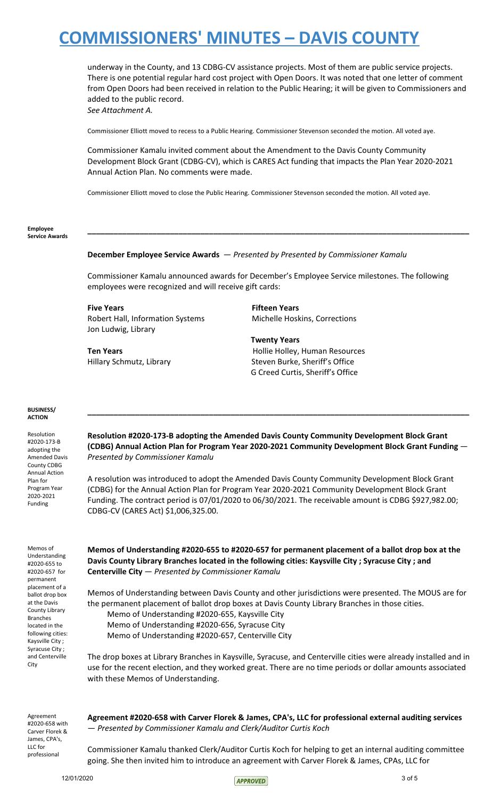underway in the County, and 13 CDBG-CV assistance projects. Most of them are public service projects. There is one potential regular hard cost project with Open Doors. It was noted that one letter of comment from Open Doors had been received in relation to the Public Hearing; it will be given to Commissioners and added to the public record. *See Attachment A.*

Commissioner Elliott moved to recess to a Public Hearing. Commissioner Stevenson seconded the motion. All voted aye.

Commissioner Kamalu invited comment about the Amendment to the Davis County Community Development Block Grant (CDBG-CV), which is CARES Act funding that impacts the Plan Year 2020-2021 Annual Action Plan. No comments were made.

Commissioner Elliott moved to close the Public Hearing. Commissioner Stevenson seconded the motion. All voted aye.

#### **Employee Service Awards**

### **December Employee Service Awards** — *Presented by Presented by Commissioner Kamalu*

Commissioner Kamalu announced awards for December's Employee Service milestones. The following employees were recognized and will receive gift cards:

**\_\_\_\_\_\_\_\_\_\_\_\_\_\_\_\_\_\_\_\_\_\_\_\_\_\_\_\_\_\_\_\_\_\_\_\_\_\_\_\_\_\_\_\_\_\_\_\_\_\_\_\_\_\_\_\_\_\_\_\_\_\_\_\_\_\_\_\_\_\_\_\_\_\_\_\_\_\_\_\_\_\_\_\_\_\_\_\_**

**Five Years Fifteen Years** Robert Hall, Information Systems Michelle Hoskins, Corrections Jon Ludwig, Library

**Twenty Years Ten Years Hollie Holley, Human Resources** Hillary Schmutz, Library Steven Burke, Sheriff's Office G Creed Curtis, Sheriff's Office

### **BUSINESS/ ACTION**

Resolution #2020-173-B adopting the Amended Davis County CDBG Annual Action Plan for Program Year 2020-2021 Funding

**Resolution #2020-173-B adopting the Amended Davis County Community Development Block Grant (CDBG) Annual Action Plan for Program Year 2020-2021 Community Development Block Grant Funding** — *Presented by Commissioner Kamalu*

**\_\_\_\_\_\_\_\_\_\_\_\_\_\_\_\_\_\_\_\_\_\_\_\_\_\_\_\_\_\_\_\_\_\_\_\_\_\_\_\_\_\_\_\_\_\_\_\_\_\_\_\_\_\_\_\_\_\_\_\_\_\_\_\_\_\_\_\_\_\_\_\_\_\_\_\_\_\_\_\_\_\_\_\_\_\_\_\_**

A resolution was introduced to adopt the Amended Davis County Community Development Block Grant (CDBG) for the Annual Action Plan for Program Year 2020-2021 Community Development Block Grant Funding. The contract period is 07/01/2020 to 06/30/2021. The receivable amount is CDBG \$927,982.00; CDBG-CV (CARES Act) \$1,006,325.00.

Memos of Understanding #2020-655 to #2020-657 for permanent placement of a ballot drop box at the Davis County Library Branches located in the following cities: Kaysville City ; Syracuse City ; and Centerville City

**Memos of Understanding #2020-655 to #2020-657 for permanent placement of a ballot drop box at the Davis County Library Branches located in the following cities: Kaysville City ; Syracuse City ; and Centerville City** — *Presented by Commissioner Kamalu*

Memos of Understanding between Davis County and other jurisdictions were presented. The MOUS are for the permanent placement of ballot drop boxes at Davis County Library Branches in those cities.

Memo of Understanding #2020-655, Kaysville City

Memo of Understanding #2020-656, Syracuse City

Memo of Understanding #2020-657, Centerville City

The drop boxes at Library Branches in Kaysville, Syracuse, and Centerville cities were already installed and in use for the recent election, and they worked great. There are no time periods or dollar amounts associated with these Memos of Understanding.

Agreement #2020-658 with Carver Florek & James, CPA's, LLC for professional

**Agreement #2020-658 with Carver Florek & James, CPA's, LLC for professional external auditing services** — *Presented by Commissioner Kamalu and Clerk/Auditor Curtis Koch*

Commissioner Kamalu thanked Clerk/Auditor Curtis Koch for helping to get an internal auditing committee going. She then invited him to introduce an agreement with Carver Florek & James, CPAs, LLC for

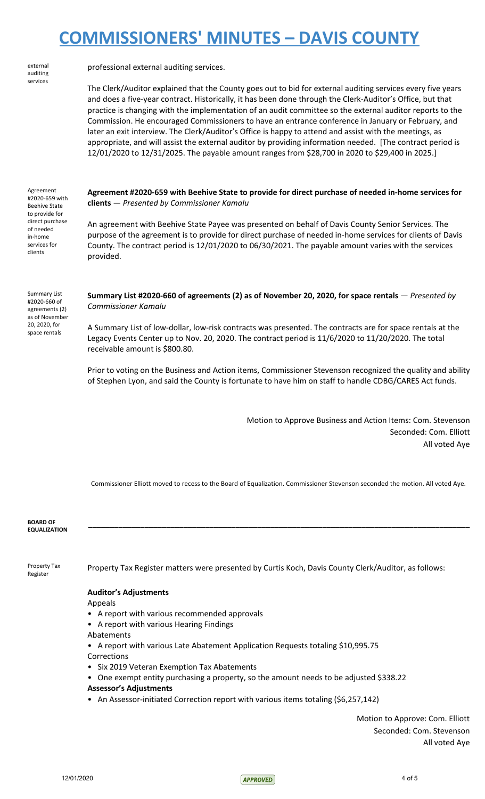external auditing services

professional external auditing services.

The Clerk/Auditor explained that the County goes out to bid for external auditing services every five years and does a five-year contract. Historically, it has been done through the Clerk-Auditor's Office, but that practice is changing with the implementation of an audit committee so the external auditor reports to the Commission. He encouraged Commissioners to have an entrance conference in January or February, and later an exit interview. The Clerk/Auditor's Office is happy to attend and assist with the meetings, as appropriate, and will assist the external auditor by providing information needed. [The contract period is 12/01/2020 to 12/31/2025. The payable amount ranges from \$28,700 in 2020 to \$29,400 in 2025.]

Agreement #2020-659 with Beehive State to provide for direct purchase of needed in-home services for clients

Summary List #2020-660 of agreements (2) as of November 20, 2020, for

space rentals

**Agreement #2020-659 with Beehive State to provide for direct purchase of needed in-home services for clients** — *Presented by Commissioner Kamalu*

An agreement with Beehive State Payee was presented on behalf of Davis County Senior Services. The purpose of the agreement is to provide for direct purchase of needed in-home services for clients of Davis County. The contract period is 12/01/2020 to 06/30/2021. The payable amount varies with the services provided.

**Summary List #2020-660 of agreements (2) as of November 20, 2020, for space rentals** — *Presented by Commissioner Kamalu*

A Summary List of low-dollar, low-risk contracts was presented. The contracts are for space rentals at the Legacy Events Center up to Nov. 20, 2020. The contract period is 11/6/2020 to 11/20/2020. The total receivable amount is \$800.80.

Prior to voting on the Business and Action items, Commissioner Stevenson recognized the quality and ability of Stephen Lyon, and said the County is fortunate to have him on staff to handle CDBG/CARES Act funds.

> Motion to Approve Business and Action Items: Com. Stevenson Seconded: Com. Elliott All voted Aye

Commissioner Elliott moved to recess to the Board of Equalization. Commissioner Stevenson seconded the motion. All voted Aye.

**\_\_\_\_\_\_\_\_\_\_\_\_\_\_\_\_\_\_\_\_\_\_\_\_\_\_\_\_\_\_\_\_\_\_\_\_\_\_\_\_\_\_\_\_\_\_\_\_\_\_\_\_\_\_\_\_\_\_\_\_\_\_\_\_\_\_\_\_\_\_\_\_\_\_\_\_\_\_\_\_\_\_\_\_\_\_\_\_**

**BOARD OF EQUALIZATION**

Property Tax Register

Property Tax Register matters were presented by Curtis Koch, Davis County Clerk/Auditor, as follows:

### **Auditor's Adjustments**

Appeals

- A report with various recommended approvals
- A report with various Hearing Findings
- Abatements

• A report with various Late Abatement Application Requests totaling \$10,995.75 Corrections

- Six 2019 Veteran Exemption Tax Abatements
- One exempt entity purchasing a property, so the amount needs to be adjusted \$338.22 **Assessor's Adjustments**
- An Assessor-initiated Correction report with various items totaling (\$6,257,142)

Motion to Approve: Com. Elliott Seconded: Com. Stevenson All voted Aye